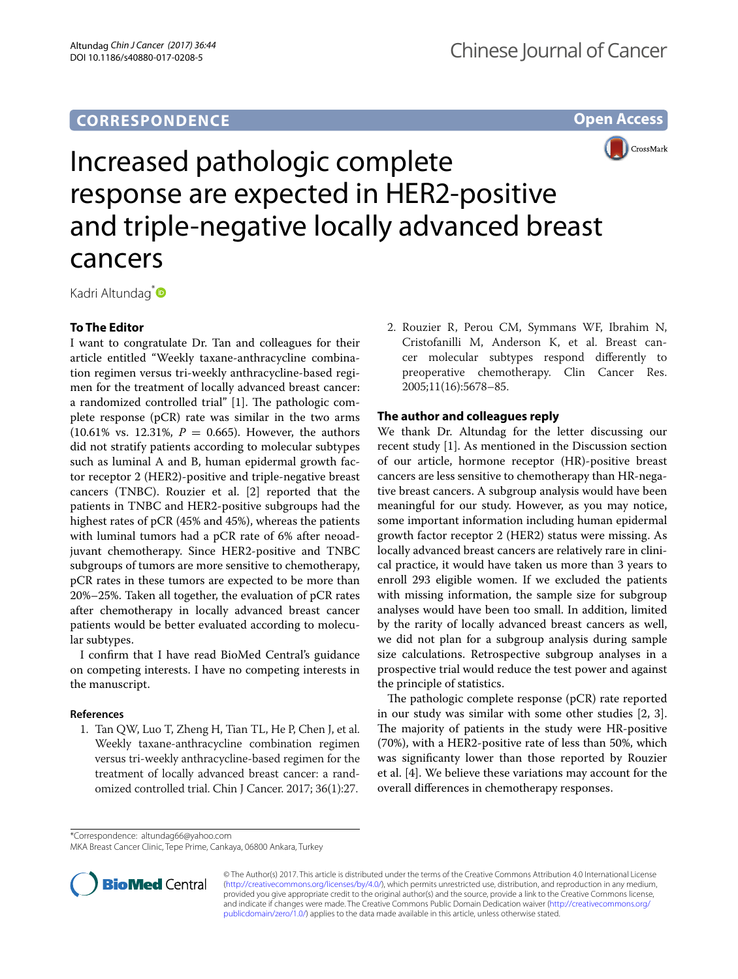## **CORRESPONDENCE**





# Increased pathologic complete response are expected in HER2-positive and triple-negative locally advanced breast cancers

Kadri Altundag<sup>[\\*](http://orcid.org/0000-0003-3357-0096)</sup>

### **To The Editor**

I want to congratulate Dr. Tan and colleagues for their article entitled "Weekly taxane-anthracycline combination regimen versus tri-weekly anthracycline-based regimen for the treatment of locally advanced breast cancer: a randomized controlled trial"  $[1]$ . The pathologic complete response (pCR) rate was similar in the two arms  $(10.61\% \text{ vs. } 12.31\%, P = 0.665)$ . However, the authors did not stratify patients according to molecular subtypes such as luminal A and B, human epidermal growth factor receptor 2 (HER2)-positive and triple-negative breast cancers (TNBC). Rouzier et al. [2] reported that the patients in TNBC and HER2-positive subgroups had the highest rates of pCR (45% and 45%), whereas the patients with luminal tumors had a pCR rate of 6% after neoadjuvant chemotherapy. Since HER2-positive and TNBC subgroups of tumors are more sensitive to chemotherapy, pCR rates in these tumors are expected to be more than 20%–25%. Taken all together, the evaluation of pCR rates after chemotherapy in locally advanced breast cancer patients would be better evaluated according to molecular subtypes.

I confrm that I have read BioMed Central's guidance on competing interests. I have no competing interests in the manuscript.

#### **References**

1. Tan QW, Luo T, Zheng H, Tian TL, He P, Chen J, et al. Weekly taxane-anthracycline combination regimen versus tri-weekly anthracycline-based regimen for the treatment of locally advanced breast cancer: a randomized controlled trial. Chin J Cancer. 2017; 36(1):27.

2. Rouzier R, Perou CM, Symmans WF, Ibrahim N, Cristofanilli M, Anderson K, et al. Breast cancer molecular subtypes respond diferently to preoperative chemotherapy. Clin Cancer Res. 2005;11(16):5678–85.

#### **The author and colleagues reply**

We thank Dr. Altundag for the letter discussing our recent study [1]. As mentioned in the Discussion section of our article, hormone receptor (HR)-positive breast cancers are less sensitive to chemotherapy than HR-negative breast cancers. A subgroup analysis would have been meaningful for our study. However, as you may notice, some important information including human epidermal growth factor receptor 2 (HER2) status were missing. As locally advanced breast cancers are relatively rare in clinical practice, it would have taken us more than 3 years to enroll 293 eligible women. If we excluded the patients with missing information, the sample size for subgroup analyses would have been too small. In addition, limited by the rarity of locally advanced breast cancers as well, we did not plan for a subgroup analysis during sample size calculations. Retrospective subgroup analyses in a prospective trial would reduce the test power and against the principle of statistics.

The pathologic complete response  $(pCR)$  rate reported in our study was similar with some other studies [2, 3]. The majority of patients in the study were HR-positive (70%), with a HER2-positive rate of less than 50%, which was signifcanty lower than those reported by Rouzier et al. [4]. We believe these variations may account for the overall diferences in chemotherapy responses.

\*Correspondence: altundag66@yahoo.com

MKA Breast Cancer Clinic, Tepe Prime, Cankaya, 06800 Ankara, Turkey



© The Author(s) 2017. This article is distributed under the terms of the Creative Commons Attribution 4.0 International License [\(http://creativecommons.org/licenses/by/4.0/\)](http://creativecommons.org/licenses/by/4.0/), which permits unrestricted use, distribution, and reproduction in any medium, provided you give appropriate credit to the original author(s) and the source, provide a link to the Creative Commons license, and indicate if changes were made. The Creative Commons Public Domain Dedication waiver ([http://creativecommons.org/](http://creativecommons.org/publicdomain/zero/1.0/) [publicdomain/zero/1.0/](http://creativecommons.org/publicdomain/zero/1.0/)) applies to the data made available in this article, unless otherwise stated.